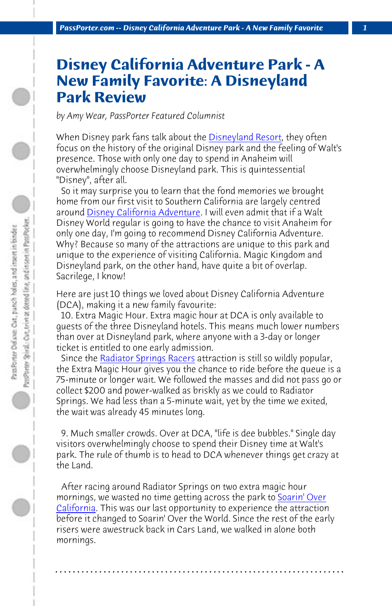*PassPo[rter.com -- Disney California Adve](http://www.passporter.com/disneyland-resort/park/10/disney-california-adventure)nture Park - A New Family Favorite 1*

## **Disney California Adventure Park - A New Family Favorite: A Disneyland Park Review**

*by Amy Wear, PassPorter Featured Columnist*

When Disney park fans talk about the **Disneyland Resort**, they often focus on the history of the original Disney park and the feeling of Walt's presence. Those with only one day to spend in Anaheim will overwhelmingly choose Disneyland park. This is quintessential "Disney", a[fter all.](http://www.passporter.com/disney-california-adventure/attractions/882/radiator-springs-racers)

 So it may surprise you to learn that the fond memories we brought home from our first visit to Southern California are largely centred around Disney California Adventure. I will even admit that if a Walt Disney World regular is going to have the chance to visit Anaheim for only one day, I'm going to recommend Disney California Adventure. Why? Because so many of the attractions are unique to this park and unique to the experience of visiting California. Magic Kingdom and Disneyland park, on the other hand, have quite a bit of overlap. Sacrilege, I know!

Here are just 10 things we loved about Disney California Adventure (DCA), making it a new family favourite:

 10. Extra Magic Hour. Extra magic hour at DCA is only [available to](http://www.passporter.com/disney-california-adventure/attractions/930/soarin-around-the-world) [guests of t](http://www.passporter.com/disney-california-adventure/attractions/930/soarin-around-the-world)he three Disneyland hotels. This means much lower numbers than over at Disneyland park, where anyone with a 3-day or longer ticket is entitled to one early admission.

Since the Radiator Springs Racers attraction is still so wildly popular, the Extra Magic Hour gives you the chance to ride before the queue is a 75-minute or longer wait. We followed the masses and did not pass go or collect \$200 and power-walked as briskly as we could to Radiator Springs. We had less than a 5-minute wait, yet by the time we exited, the wait was already 45 minutes long.

 9. Much smaller crowds. Over at DCA, "life is dee bubbles." Single day visitors overwhelmingly choose to spend their Disney time at Walt's park. The rule of thumb is to head to DCA whenever things get crazy at the Land.

 After racing around Radiator Springs on two extra magic hour mornings, we wasted no time getting across the park to **Soarin' Over** California. This was our last opportunity to experience the attraction before it changed to Soarin' Over the World. Since the rest of the early risers were awestruck back in Cars Land, we walked in alone both mornings.

**. . . . . . . . . . . . . . . . . . . . . . . . . . . . . . . . . . . . . . . . . . . . . . . . . . . . . . . . . . . . . . . . . .**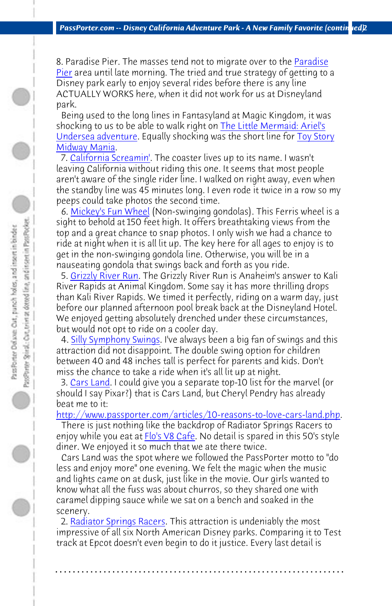*Pa[ssPorter.com -- Disney C](http://www.passporter.com/disney-california-adventure/attractions/901/mickeys-fun-wheel)alifornia Adventure Park - A New Family Favorite (continued)2* 

8. Paradise Pier. The masses tend not to migrate over to the Paradise Pier area until late morning. The tried and true strategy of getting to a Disney park early to enjoy several rides before there is any line AC[TUALLY WORKS h](http://www.passporter.com/disney-california-adventure/attractions/929/grizzly-river-run)ere, when it did not work for us at Disneyland park.

 Being used to the long lines in Fantasyland at Magic Kingdom, it was shocking to us to be able to walk right on **The Little Mermaid: Ariel's** Undersea adventure. Equally shocking was the short line for Toy Story Midway Mania.

 7. [California Screamin'. Th](http://www.passporter.com/disney-california-adventure/attractions/902/silly-symphony-swings)e coaster lives up to its name. I wasn't leaving California without riding this one. It seems that most people aren't aware of the single rider line. I walked on right away, even when the standby line was 45 minutes long. I even rode it twice in a row so my pe[eps could ta](http://www.passporter.com/disney-california-adventure/land/32/cars-land)ke photos the second time.

 6. Mickey's Fun Wheel (Non-swinging gondolas). This Ferris wheel is a sight to behold at 150 feet high. It offers breathtaking views from the [top and a great chance to snap photos. I only wish we had a chance to](http://www.passporter.com/articles/10-reasons-to-love-cars-land.php) ride at night when it is all lit up. The key here for all ages to enjoy is to get in the non-swingi[ng gondola lin](http://www.passporter.com/disney-california-adventure/dining/1376/flos-v8-cafe)e. Otherwise, you will be in a nauseating gondola that swings back and forth as you ride.

 5. Grizzly River Run. The Grizzly River Run is Anaheim's answer to Kali River Rapids at Animal Kingdom. Some say it has more thrilling drops than Kali River Rapids. We timed it perfectly, riding on a warm day, just before our planned afternoon pool break back at the Disneyland Hotel. We enjoyed getting absolutely drenched under these circumstances, but would not opt to ride on a cooler day.

 4. [Silly Symphony Swings. I](http://www.passporter.com/disney-california-adventure/attractions/882/radiator-springs-racers)'ve always been a big fan of swings and this attraction did not disappoint. The double swing option for children between 40 and 48 inches tall is perfect for parents and kids. Don't miss the chance to take a ride when it's all lit up at night.

3. Cars Land. I could give you a separate top-10 list for the marvel (or should I say Pixar?) that is Cars Land, but Cheryl Pendry has already beat me to it:

http://www.passporter.com/articles/10-reasons-to-love-cars-land.php. There is just nothing like the backdrop of Radiator Springs Racers to enjoy while you eat at Flo's V8 Cafe. No detail is spared in this 50's style diner. We enjoyed it so much that we ate there twice.

 Cars Land was the spot where we followed the PassPorter motto to "do less and enjoy more" one evening. We felt the magic when the music and lights came on at dusk, just like in the movie. Our girls wanted to know what all the fuss was about churros, so they shared one with caramel dipping sauce while we sat on a bench and soaked in the scenery.

 2. Radiator Springs Racers. This attraction is undeniably the most impressive of all six North American Disney parks. Comparing it to Test track at Epcot doesn't even begin to do it justice. Every last detail is

**. . . . . . . . . . . . . . . . . . . . . . . . . . . . . . . . . . . . . . . . . . . . . . . . . . . . . . . . . . . . . . . . . .**